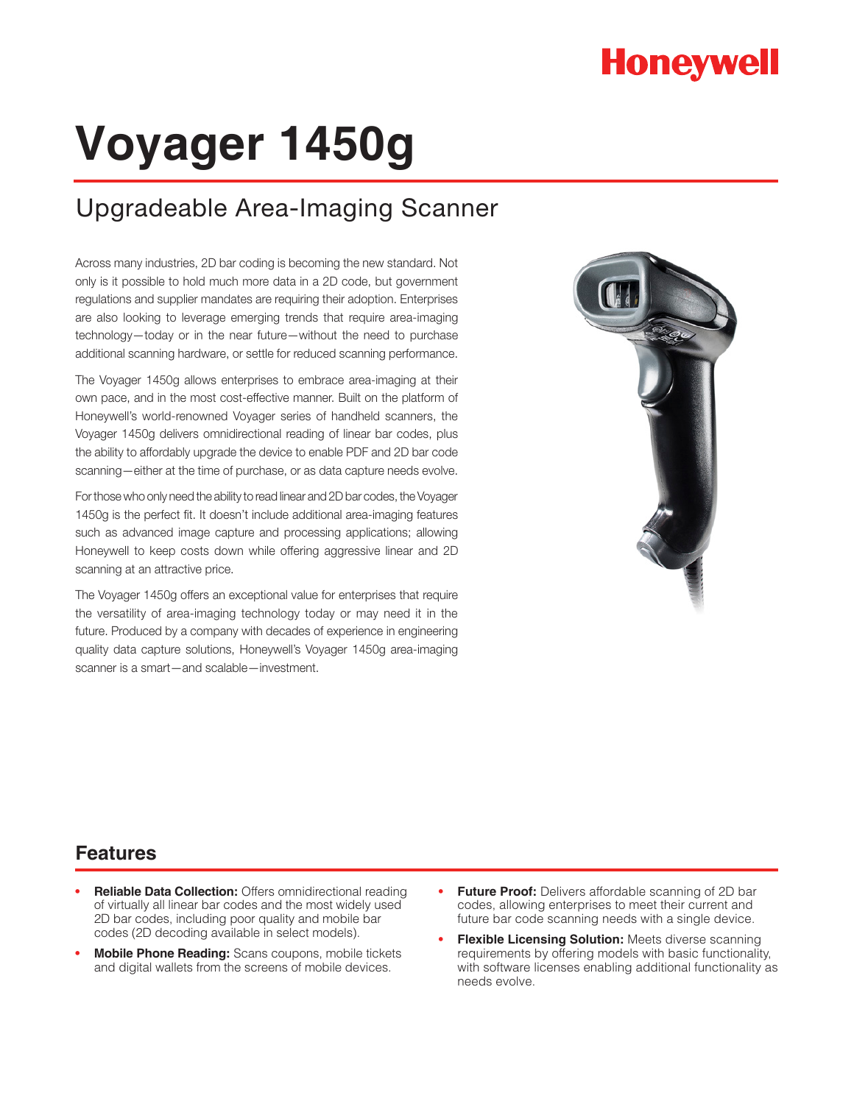## **Honeywell**

# **Voyager 1450g**

### Upgradeable Area-Imaging Scanner

Across many industries, 2D bar coding is becoming the new standard. Not only is it possible to hold much more data in a 2D code, but government regulations and supplier mandates are requiring their adoption. Enterprises are also looking to leverage emerging trends that require area-imaging technology—today or in the near future—without the need to purchase additional scanning hardware, or settle for reduced scanning performance.

The Voyager 1450g allows enterprises to embrace area-imaging at their own pace, and in the most cost-effective manner. Built on the platform of Honeywell's world-renowned Voyager series of handheld scanners, the Voyager 1450g delivers omnidirectional reading of linear bar codes, plus the ability to affordably upgrade the device to enable PDF and 2D bar code scanning—either at the time of purchase, or as data capture needs evolve.

For those who only need the ability to read linear and 2D bar codes, the Voyager 1450g is the perfect fit. It doesn't include additional area-imaging features such as advanced image capture and processing applications; allowing Honeywell to keep costs down while offering aggressive linear and 2D scanning at an attractive price.

The Voyager 1450g offers an exceptional value for enterprises that require the versatility of area-imaging technology today or may need it in the future. Produced by a company with decades of experience in engineering quality data capture solutions, Honeywell's Voyager 1450g area-imaging scanner is a smart—and scalable—investment.



#### **Features**

- **• Reliable Data Collection:** Offers omnidirectional reading of virtually all linear bar codes and the most widely used 2D bar codes, including poor quality and mobile bar codes (2D decoding available in select models).
- **• Mobile Phone Reading:** Scans coupons, mobile tickets and digital wallets from the screens of mobile devices.
- **• Future Proof:** Delivers affordable scanning of 2D bar codes, allowing enterprises to meet their current and future bar code scanning needs with a single device.
- **• Flexible Licensing Solution:** Meets diverse scanning requirements by offering models with basic functionality, with software licenses enabling additional functionality as needs evolve.